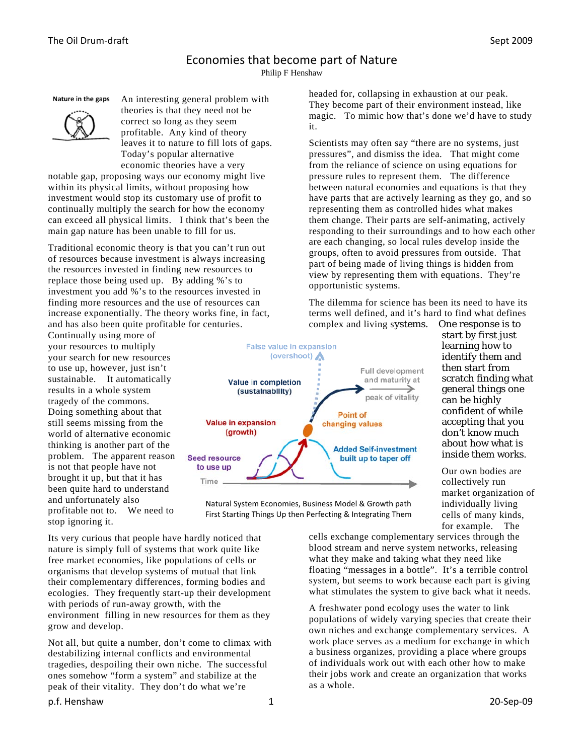# Economies that become part of Nature

Philip F Henshaw

#### Nature in the gaps



An interesting general problem with theories is that they need not be correct so long as they seem profitable. Any kind of theory leaves it to nature to fill lots of gaps. Today's popular alternative economic theories have a very

notable gap, proposing ways our economy might live within its physical limits, without proposing how investment would stop its customary use of profit to continually multiply the search for how the economy can exceed all physical limits. I think that's been the main gap nature has been unable to fill for us.

Traditional economic theory is that you can't run out of resources because investment is always increasing the resources invested in finding new resources to replace those being used up. By adding %'s to investment you add %'s to the resources invested in finding more resources and the use of resources can increase exponentially. The theory works fine, in fact, and has also been quite profitable for centuries.

Continually using more of your resources to multiply your search for new resources to use up, however, just isn't sustainable. It automatically results in a whole system tragedy of the commons. Doing something about that still seems missing from the world of alternative economic thinking is another part of the problem. The apparent reason is not that people have not brought it up, but that it has been quite hard to understand and unfortunately also profitable not to. We need to stop ignoring it.

(overshoot) Full development and maturity at Value in completion (sustainability) peak of vitality **Point of Value in expansion** changing values (growth) **Added Self-investment Seed resource** built up to taper off to use up Time

**False value in expansion** 

Natural System Economies, Business Model & Growth path First Starting Things Up then Perfecting & Integrating Them

Its very curious that people have hardly noticed that nature is simply full of systems that work quite like free market economies, like populations of cells or organisms that develop systems of mutual that link their complementary differences, forming bodies and ecologies. They frequently start-up their development with periods of run-away growth, with the environment filling in new resources for them as they grow and develop.

Not all, but quite a number, don't come to climax with destabilizing internal conflicts and environmental tragedies, despoiling their own niche. The successful ones somehow "form a system" and stabilize at the peak of their vitality. They don't do what we're

headed for, collapsing in exhaustion at our peak. They become part of their environment instead, like magic. To mimic how that's done we'd have to study it.

Scientists may often say "there are no systems, just pressures", and dismiss the idea. That might come from the reliance of science on using equations for pressure rules to represent them. The difference between natural economies and equations is that they have parts that are actively learning as they go, and so representing them as controlled hides what makes them change. Their parts are self-animating, actively responding to their surroundings and to how each other are each changing, so local rules develop inside the groups, often to avoid pressures from outside. That part of being made of living things is hidden from view by representing them with equations. They're opportunistic systems.

The dilemma for science has been its need to have its terms well defined, and it's hard to find what defines complex and living systems. One response is to

> start by first just learning how to identify them and then start from scratch finding what general things one can be highly confident of while accepting that you don't know much about how what is inside them works.

Our own bodies are collectively run market organization of individually living cells of many kinds, for example. The

cells exchange complementary services through the blood stream and nerve system networks, releasing

what they make and taking what they need like floating "messages in a bottle". It's a terrible control system, but seems to work because each part is giving what stimulates the system to give back what it needs.

A freshwater pond ecology uses the water to link populations of widely varying species that create their own niches and exchange complementary services. A work place serves as a medium for exchange in which a business organizes, providing a place where groups of individuals work out with each other how to make their jobs work and create an organization that works as a whole.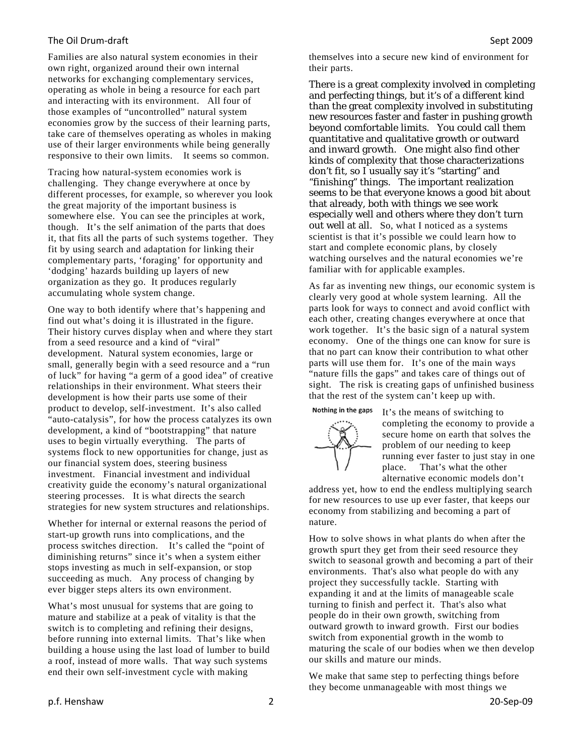## The Oil Drum-draft Sept 2009

Families are also natural system economies in their own right, organized around their own internal networks for exchanging complementary services, operating as whole in being a resource for each part and interacting with its environment. All four of those examples of "uncontrolled" natural system economies grow by the success of their learning parts, take care of themselves operating as wholes in making use of their larger environments while being generally responsive to their own limits. It seems so common.

Tracing how natural-system economies work is challenging. They change everywhere at once by different processes, for example, so wherever you look the great majority of the important business is somewhere else. You can see the principles at work, though. It's the self animation of the parts that does it, that fits all the parts of such systems together. They fit by using search and adaptation for linking their complementary parts, 'foraging' for opportunity and 'dodging' hazards building up layers of new organization as they go. It produces regularly accumulating whole system change.

One way to both identify where that's happening and find out what's doing it is illustrated in the figure. Their history curves display when and where they start from a seed resource and a kind of "viral" development. Natural system economies, large or small, generally begin with a seed resource and a "run of luck" for having "a germ of a good idea" of creative relationships in their environment. What steers their development is how their parts use some of their product to develop, self-investment. It's also called "auto-catalysis", for how the process catalyzes its own development, a kind of "bootstrapping" that nature uses to begin virtually everything. The parts of systems flock to new opportunities for change, just as our financial system does, steering business investment. Financial investment and individual creativity guide the economy's natural organizational steering processes. It is what directs the search strategies for new system structures and relationships.

Whether for internal or external reasons the period of start-up growth runs into complications, and the process switches direction. It's called the "point of diminishing returns" since it's when a system either stops investing as much in self-expansion, or stop succeeding as much. Any process of changing by ever bigger steps alters its own environment.

What's most unusual for systems that are going to mature and stabilize at a peak of vitality is that the switch is to completing and refining their designs, before running into external limits. That's like when building a house using the last load of lumber to build a roof, instead of more walls. That way such systems end their own self-investment cycle with making

themselves into a secure new kind of environment for their parts.

There is a great complexity involved in completing and perfecting things, but it's of a different kind than the great complexity involved in substituting new resources faster and faster in pushing growth beyond comfortable limits. You could call them quantitative and qualitative growth or outward and inward growth. One might also find other kinds of complexity that those characterizations don't fit, so I usually say it's "starting" and "finishing" things. The important realization seems to be that everyone knows a good bit about that already, both with things we see work especially well and others where they don't turn out well at all. So, what I noticed as a systems scientist is that it's possible we could learn how to start and complete economic plans, by closely watching ourselves and the natural economies we're familiar with for applicable examples.

As far as inventing new things, our economic system is clearly very good at whole system learning. All the parts look for ways to connect and avoid conflict with each other, creating changes everywhere at once that work together. It's the basic sign of a natural system economy. One of the things one can know for sure is that no part can know their contribution to what other parts will use them for. It's one of the main ways "nature fills the gaps" and takes care of things out of sight. The risk is creating gaps of unfinished business that the rest of the system can't keep up with.

Nothing in the gaps



It's the means of switching to completing the economy to provide a secure home on earth that solves the problem of our needing to keep running ever faster to just stay in one place. That's what the other alternative economic models don't

address yet, how to end the endless multiplying search for new resources to use up ever faster, that keeps our economy from stabilizing and becoming a part of nature.

How to solve shows in what plants do when after the growth spurt they get from their seed resource they switch to seasonal growth and becoming a part of their environments. That's also what people do with any project they successfully tackle. Starting with expanding it and at the limits of manageable scale turning to finish and perfect it. That's also what people do in their own growth, switching from outward growth to inward growth. First our bodies switch from exponential growth in the womb to maturing the scale of our bodies when we then develop our skills and mature our minds.

We make that same step to perfecting things before they become unmanageable with most things we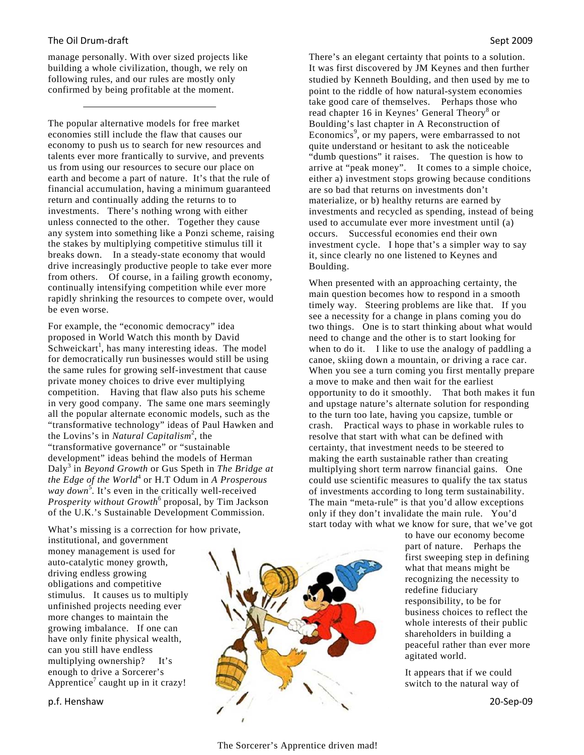#### The Oil Drum-draft Sept 2009

manage personally. With over sized projects like building a whole civilization, though, we rely on following rules, and our rules are mostly only confirmed by being profitable at the moment.

The popular alternative models for free market economies still include the flaw that causes our economy to push us to search for new resources and talents ever more frantically to survive, and prevents us from using our resources to secure our place on earth and become a part of nature. It's that the rule of financial accumulation, having a minimum guaranteed return and continually adding the returns to to investments. There's nothing wrong with either unless connected to the other. Together they cause any system into something like a Ponzi scheme, raising the stakes by multiplying competitive stimulus till it breaks down. In a steady-state economy that would drive increasingly productive people to take ever more from others. Of course, in a failing growth economy, continually intensifying competition while ever more rapidly shrinking the resources to compete over, would be even worse.

For example, the "economic democracy" idea proposed in World Watch this month by David Schweickart<sup>1</sup>, has many interesting ideas. The model for democratically run businesses would still be using the same rules for growing self-investment that cause private money choices to drive ever multiplying competition. Having that flaw also puts his scheme in very good company. The same one mars seemingly all the popular alternate economic models, such as the "transformative technology" ideas of Paul Hawken and the Lovins's in *Natural Capitalism*<sup>2</sup> , the "transformative governance" or "sustainable development" ideas behind the models of Herman Daly<sup>3</sup> in *Beyond Growth* or Gus Speth in *The Bridge at the Edge of the World*<sup>4</sup> or H.T Odum in *A Prosperous way down*<sup>5</sup>. It's even in the critically well-received Prosperity without Growth<sup>6</sup> proposal, by Tim Jackson of the U.K.'s Sustainable Development Commission.

What's missing is a correction for how private, institutional, and government money management is used for auto-catalytic money growth, driving endless growing obligations and competitive stimulus. It causes us to multiply unfinished projects needing ever more changes to maintain the growing imbalance. If one can have only finite physical wealth, can you still have endless multiplying ownership? It's enough to drive a Sorcerer's Apprentice<sup>7</sup> caught up in it crazy!



There's an elegant certainty that points to a solution. It was first discovered by JM Keynes and then further studied by Kenneth Boulding, and then used by me to point to the riddle of how natural-system economies take good care of themselves. Perhaps those who read chapter 16 in Keynes' General Theory<sup>8</sup> or Boulding's last chapter in A Reconstruction of Economics<sup>9</sup>, or my papers, were embarrassed to not quite understand or hesitant to ask the noticeable "dumb questions" it raises. The question is how to arrive at "peak money". It comes to a simple choice, either a) investment stops growing because conditions are so bad that returns on investments don't materialize, or b) healthy returns are earned by investments and recycled as spending, instead of being used to accumulate ever more investment until (a) occurs. Successful economies end their own investment cycle. I hope that's a simpler way to say it, since clearly no one listened to Keynes and Boulding.

When presented with an approaching certainty, the main question becomes how to respond in a smooth timely way. Steering problems are like that. If you see a necessity for a change in plans coming you do two things. One is to start thinking about what would need to change and the other is to start looking for when to do it. I like to use the analogy of paddling a canoe, skiing down a mountain, or driving a race car. When you see a turn coming you first mentally prepare a move to make and then wait for the earliest opportunity to do it smoothly. That both makes it fun and upstage nature's alternate solution for responding to the turn too late, having you capsize, tumble or crash. Practical ways to phase in workable rules to resolve that start with what can be defined with certainty, that investment needs to be steered to making the earth sustainable rather than creating multiplying short term narrow financial gains. One could use scientific measures to qualify the tax status of investments according to long term sustainability. The main "meta-rule" is that you'd allow exceptions only if they don't invalidate the main rule. You'd start today with what we know for sure, that we've got

to have our economy become part of nature. Perhaps the first sweeping step in defining what that means might be recognizing the necessity to redefine fiduciary responsibility, to be for business choices to reflect the whole interests of their public shareholders in building a peaceful rather than ever more agitated world.

It appears that if we could switch to the natural way of